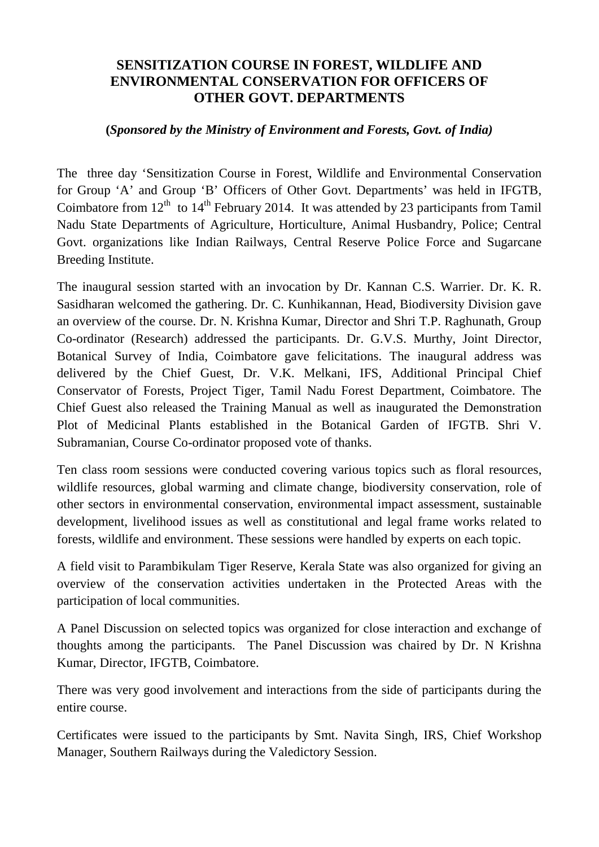## **SENSITIZATION COURSE IN FOREST, WILDLIFE AND ENVIRONMENTAL CONSERVATION FOR OFFICERS OF OTHER GOVT. DEPARTMENTS**

## **(***Sponsored by the Ministry of Environment and Forests, Govt. of India)*

The three day 'Sensitization Course in Forest, Wildlife and Environmental Conservation for Group 'A' and Group 'B' Officers of Other Govt. Departments' was held in IFGTB, Coimbatore from  $12^{th}$  to  $14^{th}$  February 2014. It was attended by 23 participants from Tamil Nadu State Departments of Agriculture, Horticulture, Animal Husbandry, Police; Central Govt. organizations like Indian Railways, Central Reserve Police Force and Sugarcane Breeding Institute.

The inaugural session started with an invocation by Dr. Kannan C.S. Warrier. Dr. K. R. Sasidharan welcomed the gathering. Dr. C. Kunhikannan, Head, Biodiversity Division gave an overview of the course. Dr. N. Krishna Kumar, Director and Shri T.P. Raghunath, Group Co-ordinator (Research) addressed the participants. Dr. G.V.S. Murthy, Joint Director, Botanical Survey of India, Coimbatore gave felicitations. The inaugural address was delivered by the Chief Guest, Dr. V.K. Melkani, IFS, Additional Principal Chief Conservator of Forests, Project Tiger, Tamil Nadu Forest Department, Coimbatore. The Chief Guest also released the Training Manual as well as inaugurated the Demonstration Plot of Medicinal Plants established in the Botanical Garden of IFGTB. Shri V. Subramanian, Course Co-ordinator proposed vote of thanks.

Ten class room sessions were conducted covering various topics such as floral resources, wildlife resources, global warming and climate change, biodiversity conservation, role of other sectors in environmental conservation, environmental impact assessment, sustainable development, livelihood issues as well as constitutional and legal frame works related to forests, wildlife and environment. These sessions were handled by experts on each topic.

A field visit to Parambikulam Tiger Reserve, Kerala State was also organized for giving an overview of the conservation activities undertaken in the Protected Areas with the participation of local communities.

A Panel Discussion on selected topics was organized for close interaction and exchange of thoughts among the participants. The Panel Discussion was chaired by Dr. N Krishna Kumar, Director, IFGTB, Coimbatore.

There was very good involvement and interactions from the side of participants during the entire course.

Certificates were issued to the participants by Smt. Navita Singh, IRS, Chief Workshop Manager, Southern Railways during the Valedictory Session.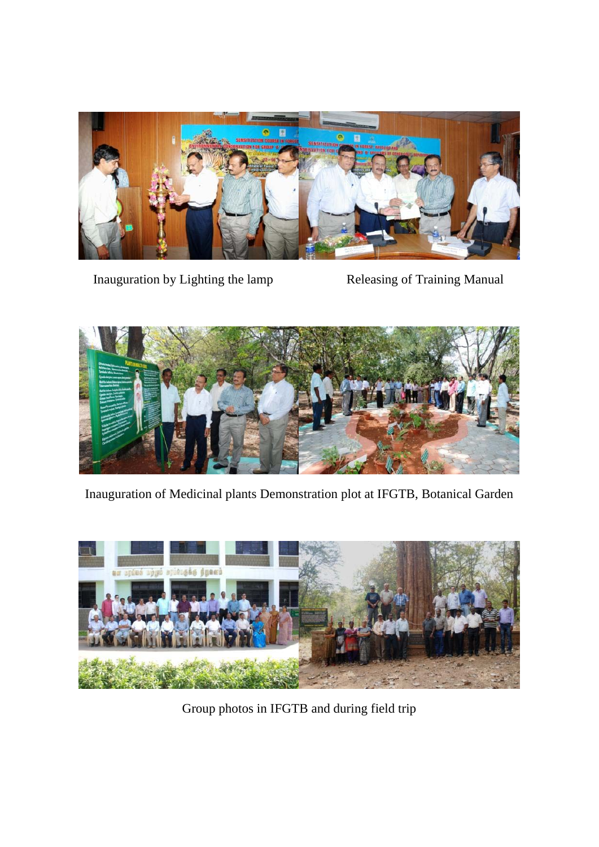

Inauguration by Lighting the lamp Releasing of Training Manual



Inauguration of Medicinal plants Demonstration plot at IFGTB, Botanical Garden



Group photos in IFGTB and during field trip